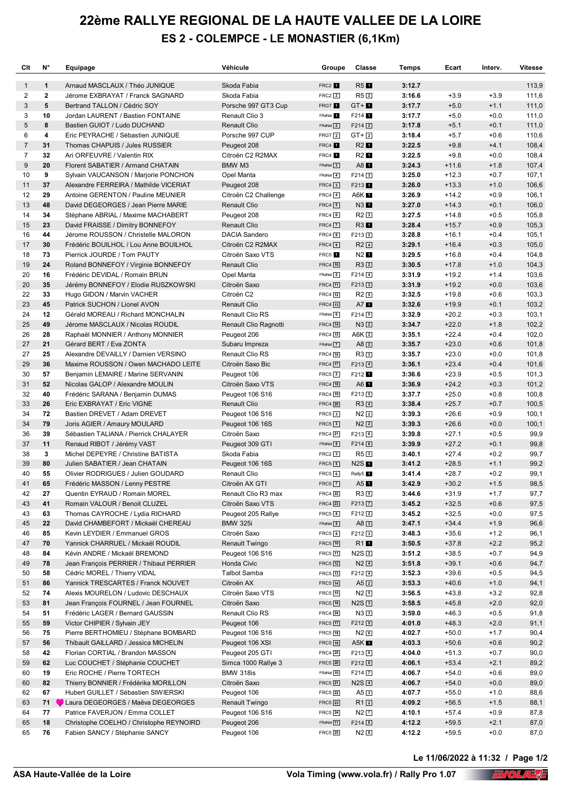## **22ème RALLYE REGIONAL DE LA HAUTE VALLEE DE LA LOIRE ES 2 - COLEMPCE - LE MONASTIER (6,1Km)**

| Clt            | N°           | Equipage                                                                  | Véhicule                       | Groupe                         | Classe                            | Temps            | Ecart              | Interv.          | <b>Vitesse</b> |
|----------------|--------------|---------------------------------------------------------------------------|--------------------------------|--------------------------------|-----------------------------------|------------------|--------------------|------------------|----------------|
| $\mathbf{1}$   | $\mathbf{1}$ | Arnaud MASCLAUX / Théo JUNIQUE                                            | Skoda Fabia                    | FRC2 <sup>1</sup>              | R5                                | 3:12.7           |                    |                  | 113,9          |
| 2              | $\mathbf{2}$ | Jérome EXBRAYAT / Franck SAGNARD                                          | Skoda Fabia                    | $FRC2$ $2$                     | R52                               | 3:16.6           | $+3.9$             | $+3.9$           | 111,6          |
| 3              | 5            | Bertrand TALLON / Cédric SOY                                              | Porsche 997 GT3 Cup            | FRGT 1                         | $GT + D$                          | 3:17.7           | $+5.0$             | $+1.1$           | 111,0          |
| 3              | 10           | Jordan LAURENT / Bastien FONTAINE                                         | Renault Clio 3                 | FRaNat 1                       | F214                              | 3:17.7           | $+5.0$             | $+0.0$           | 111,0          |
| 5              | 8            | Bastien GUIOT / Ludo DUCHAND                                              | <b>Renault Clio</b>            | FRaNat 2                       | $F214$ <sup>2</sup>               | 3:17.8           | $+5.1$             | $+0.1$           | 111,0          |
| 6              | 4            | Eric PEYRACHE / Sébastien JUNIQUE                                         | Porsche 997 CUP                | FRGT <sub>2</sub>              | $GT + 2$                          | 3:18.4           | $+5.7$             | $+0.6$           | 110,6          |
| $\overline{7}$ | 31           | Thomas CHAPUIS / Jules RUSSIER                                            | Peugeot 208                    | FRC4 1                         | R2                                | 3:22.5           | $+9.8$             | $+4.1$           | 108,4          |
| $\overline{7}$ | 32           | Ari ORFEUVRE / Valentin RIX                                               | Citroën C2 R2MAX               | FRC4 1                         | R2 <b>1</b>                       | 3:22.5           | $+9.8$             | $+0.0$           | 108,4          |
| 9<br>10        | 20<br>9      | Florent SABATIER / Armand CHATAIN<br>Sylvain VAUCANSON / Marjorie PONCHON | BMW M3                         | $FRaNat \boxed{3}$<br>FRaNat 4 | A8                                | 3:24.3<br>3:25.0 | $+11.6$<br>$+12.3$ | $+1.8$<br>$+0.7$ | 107,4          |
| 11             | 37           | Alexandre FERREIRA / Mathilde VICERIAT                                    | Opel Manta<br>Peugeot 208      | $FRC4$ 3                       | $F214$ 3<br>F213 <sup>1</sup>     | 3:26.0           | $+13.3$            | $+1.0$           | 107,1<br>106,6 |
| 12             | 29           | Antoine GERENTON / Pauline MEUNIER                                        | Citroën C2 Challenge           | $FRC4$ $4$                     | A6K <b>E</b>                      | 3:26.9           | $+14.2$            | $+0.9$           | 106,1          |
| 13             | 48           | David DEGEORGES / Jean Pierre MARIE                                       | <b>Renault Clio</b>            | $FRC4$ $5$                     | N3 1                              | 3:27.0           | $+14.3$            | $+0.1$           | 106,0          |
| 14             | 34           | Stéphane ABRIAL / Maxime MACHABERT                                        | Peugeot 208                    | $FRC4$ 6                       | $R2$ <sup>3</sup>                 | 3:27.5           | $+14.8$            | $+0.5$           | 105,8          |
| 15             | 23           | David FRAISSE / Dimitry BONNEFOY                                          | Renault Clio                   | $FRC4$ $\boxed{7}$             | $R3$ $\blacksquare$               | 3:28.4           | $+15.7$            | $+0.9$           | 105,3          |
| 16             | 44           | Jérome ROUSSON / Christelle MALORON                                       | <b>DACIA Sandero</b>           | $FRC4$ $8$                     | $F213$ <sup>2</sup>               | 3:28.8           | $+16.1$            | $+0.4$           | 105,1          |
| 17             | 30           | Frédéric BOUILHOL / Lou Anne BOUILHOL                                     | Citroën C2 R2MAX               | $FRC4$ 9                       | $R2$ <sup><math>\Box</math></sup> | 3:29.1           | $+16.4$            | $+0.3$           | 105,0          |
| 18             | 73           | Pierrick JOURDE / Tom PAUTY                                               | Citroën Saxo VTS               | FRC5 <sup>1</sup>              | $N2$ $\blacksquare$               | 3:29.5           | $+16.8$            | $+0.4$           | 104,8          |
| 19             | 24           | Roland BONNEFOY / Virginie BONNEFOY                                       | <b>Renault Clio</b>            | FRC4 10                        | $R3$ <sup>2</sup>                 | 3:30.5           | $+17.8$            | $+1.0$           | 104,3          |
| 20             | 16           | Frédéric DEVIDAL / Romain BRUN                                            | Opel Manta                     | FRaNat 5                       | $F214$ <sup>4</sup>               | 3:31.9           | $+19.2$            | $+1.4$           | 103,6          |
| 20             | 35           | Jérémy BONNEFOY / Elodie RUSZKOWSKI                                       | Citroën Saxo                   | <b>FRC4</b> 11                 | $F213$ 3                          | 3:31.9           | $+19.2$            | $+0.0$           | 103,6          |
| 22             | 33           | Hugo GIDON / Marvin VACHER                                                | Citroën C2                     | <b>FRC4</b> 12                 | $R2$ 5                            | 3:32.5           | $+19.8$            | $+0.6$           | 103,3          |
| 23             | 45           | Patrick SUCHON / Lionel AVON                                              | <b>Renault Clio</b>            | FRC4 13                        | $A7$ $\blacksquare$               | 3:32.6           | $+19.9$            | $+0.1$           | 103,2          |
| 24             | 12           | Gérald MOREAU / Richard MONCHALIN                                         | <b>Renault Clio RS</b>         | FRaNat 6                       | $F214$ 5                          | 3:32.9           | $+20.2$            | $+0.3$           | 103,1          |
| 25             | 49           | Jérome MASCLAUX / Nicolas ROUDIL                                          | Renault Clio Ragnotti          | <b>FRC4</b> 14                 | $N3$ <sup>2</sup>                 | 3:34.7           | $+22.0$            | $+1.8$           | 102,2          |
| 26             | 28           | Raphaël MONNIER / Anthony MONNIER                                         | Peugeot 206                    | <b>FRC4</b> 15                 | $A6K$ $2$                         | 3:35.1           | $+22.4$            | $+0.4$           | 102,0          |
| 27             | 21           | Gérard BERT / Eva ZONTA                                                   | Subaru Impreza                 | FRaNat 7                       | $A8$ 2                            | 3:35.7           | $+23.0$            | $+0.6$           | 101,8          |
| 27             | 25           | Alexandre DEVAILLY / Damien VERSINO                                       | <b>Renault Clio RS</b>         | FRC4 16                        | $R3$ 3                            | 3:35.7           | $+23.0$            | $+0.0$           | 101,8          |
| 29             | 36           | Maxime ROUSSON / Owen MACHADO LEITE                                       | Citroën Saxo Bic               | <b>FRC4</b> [17]               | $F213$ <sup>4</sup>               | 3:36.1           | $+23.4$            | $+0.4$           | 101,6          |
| 30             | 57           | Benjamin LEMAIRE / Marine SERVANIN                                        | Peugeot 106                    | $FRC5$ $2$                     | F212 <sup>1</sup>                 | 3:36.6           | $+23.9$            | $+0.5$           | 101,3          |
| 31             | 52           | Nicolas GALOP / Alexandre MOULIN                                          | Citroën Saxo VTS               | <b>FRC4</b> 18                 | $A6$ $\blacksquare$               | 3:36.9           | $+24.2$            | $+0.3$           | 101,2          |
| 32             | 40           | Frédéric SARANA / Benjamin DUMAS                                          | Peugeot 106 S16                | FRC4 19                        | $F213$ 5                          | 3:37.7           | $+25.0$            | $+0.8$           | 100,8          |
| 33             | 26           | Eric EXBRAYAT / Eric VIGNE                                                | <b>Renault Clio</b>            | <b>FRC4</b> 20                 | $R3$ <sup><math>\Box</math></sup> | 3:38.4           | $+25.7$            | $+0.7$           | 100,5          |
| 34             | 72           | Bastien DREVET / Adam DREVET                                              | Peugeot 106 S16                | $FRC5$ 3                       | $N2$ <sup>2</sup>                 | 3:39.3           | $+26.6$            | $+0.9$           | 100,1          |
| 34             | 79           | Joris AGIER / Amaury MOULARD                                              | Peugeot 106 16S                | $FRC5$ $3$                     | $N2$ <sup>2</sup>                 | 3:39.3           | $+26.6$            | $+0.0$           | 100,1          |
| 36             | 39           | Sébastien TALIANA / Pierrick CHALAYER                                     | Citroën Saxo                   | FRC4 21                        | $F213$ <sup>6</sup>               | 3:39.8           | $+27.1$            | $+0.5$           | 99,9           |
| 37             | 11           | Renaud RIBOT / Jérémy VAST                                                | Peugeot 309 GTI                | FRaNat 8                       | $F214$ 6                          | 3:39.9           | $+27.2$            | $+0.1$           | 99,8           |
| 38             | 3            | Michel DEPEYRE / Christine BATISTA                                        | Skoda Fabia                    | $FRC2$ 3                       | $R5$ <sup>3</sup>                 | 3:40.1           | $+27.4$            | $+0.2$           | 99,7           |
| 39             | 80           | Julien SABATIER / Jean CHATAIN                                            | Peugeot 106 16S                | $FRC5$ $5$                     | N2S                               | 3:41.2           | $+28.5$            | $+1.1$           | 99,2           |
| 40             | 55           | Olivier RODRIGUES / Julien GOUDARD                                        | Renault Clio                   | $FRC5$ 6                       | Rally5 <sup>1</sup>               | 3:41.4           | $+28.7$            | $+0.2$           | 99,1           |
| 41             | 65           | Frédéric MASSON / Lenny PESTRE                                            | Citroën AX GTI                 | $FRC5$ $\boxed{7}$             | $A5$ $\blacksquare$               | 3:42.9           | $+30.2$            | $+1.5$           | 98,5           |
| 42             | 27           | Quentin EYRAUD / Romain MOREL                                             | Renault Clio R3 max            | <b>FRC4</b> 22                 | R35                               | 3:44.6           | $+31.9$            | $+1.7$           | 97,7           |
| 43             | 41           | Romain VALOUR / Benoit CLUZEL                                             | Citroën Saxo VTS               | FRC4 23                        | $F213$ $\boxed{7}$                | 3:45.2           | $+32.5$            | $+0.6$           | 97,5           |
| 43             | 63           | Thomas CAYROCHE / Lydia RICHARD                                           | Peugeot 205 Rallye             | $FRC5$ $\boxed{8}$             | F212 <sub>2</sub>                 | 3:45.2           | $+32.5$            | $+0.0$           | 97,5           |
| 45             | 22           | David CHAMBEFORT / Mickaël CHEREAU                                        | <b>BMW 325i</b>                | FRaNat 9                       | $A8$ 3<br>F212 <sub>3</sub>       | 3:47.1<br>3:48.3 | $+34.4$            | $+1.9$<br>$+1.2$ | 96,6           |
| 46<br>47       | 85<br>70     | Kevin LEYDIER / Emmanuel GROS<br>Yannick CHARRUEL / Mickaël ROUDIL        | Citroën Saxo<br>Renault Twingo | $FRC5$ $9$<br>FRC5 10          | R1                                | 3:50.5           | $+35.6$<br>$+37.8$ | $+2.2$           | 96,1<br>95,2   |
| 48             | 84           | Kévin ANDRE / Mickaël BREMOND                                             | Peugeot 106 S16                | FRC5 11                        | N2S <sub>2</sub>                  | 3:51.2           | $+38.5$            | $+0.7$           | 94,9           |
| 49             | 78           | Jean François PERRIER / Thibaut PERRIER                                   | Honda Civic                    | FRC5 12                        | $N2\sqrt{4}$                      | 3:51.8           | $+39.1$            | $+0.6$           | 94,7           |
| 50             | 58           | Cédric MOREL / Thierry VIDAL                                              | <b>Talbot Samba</b>            | FRC5 13                        | F212 <sup>4</sup>                 | 3:52.3           | $+39.6$            | $+0.5$           | 94,5           |
| 51             | 86           | Yannick TRESCARTES / Franck NOUVET                                        | Citroën AX                     | FRC5 14                        | $A5$ <sup>2</sup>                 | 3:53.3           | $+40.6$            | $+1.0$           | 94,1           |
| 52             | 74           | Alexis MOURELON / Ludovic DESCHAUX                                        | Citroën Saxo VTS               | FRC5 15                        | N25                               | 3:56.5           | $+43.8$            | $+3.2$           | 92,8           |
| 53             | 81           | Jean François FOURNEL / Jean FOURNEL                                      | Citroën Saxo                   | FRC5 16                        | $N2S$ <sup>3</sup>                | 3:58.5           | $+45.8$            | $+2.0$           | 92,0           |
| 54             | 51           | Frédéric LAGER / Bernard GAUSSIN                                          | Renault Clio RS                | FRC4 24                        | $N3$ 3                            | 3:59.0           | $+46.3$            | $+0.5$           | 91,8           |
| 55             | 59           | Victor CHIPIER / Sylvain JEY                                              | Peugeot 106                    | FRC5 17                        | $F212$ 5                          | 4:01.0           | $+48.3$            | $+2.0$           | 91,1           |
| 56             | 75           | Pierre BERTHOMIEU / Stéphane BOMBARD                                      | Peugeot 106 S16                | FRC5 18                        | $N2$ $6$                          | 4:02.7           | $+50.0$            | $+1.7$           | 90,4           |
| 57             | 56           | Thibault GAILLARD / Jessica MICHELIN                                      | Peugeot 106 XSI                | FRC5 [19]                      | A5K $\blacksquare$                | 4:03.3           | $+50.6$            | $+0.6$           | 90,2           |
| 58             | 42           | Florian CORTIAL / Brandon MASSON                                          | Peugeot 205 GTI                | <b>FRC4</b> 25                 | $F213$ 8                          | 4:04.0           | $+51.3$            | $+0.7$           | 90,0           |
| 59             | 62           | Luc COUCHET / Stéphanie COUCHET                                           | Simca 1000 Rallye 3            | FRC5 20                        | $F212$ 6                          | 4:06.1           | $+53.4$            | $+2.1$           | 89,2           |
| 60             | 19           | Eric ROCHE / Pierre TORTECH                                               | <b>BMW 318is</b>               | FRaNat 10                      | F214 7                            | 4:06.7           | $+54.0$            | $+0.6$           | 89,0           |
| 60             | 82           | Thierry BONNIER / Frédérika MORILLON                                      | Citroën Saxo                   | FRC5 21                        | $N2S$ <sup>4</sup>                | 4:06.7           | $+54.0$            | $+0.0$           | 89,0           |
| 62             | 67           | Hubert GUILLET / Sébastien SIWIERSKI                                      | Peugeot 106                    | FRC5 22                        | $A5$ 3                            | 4:07.7           | $+55.0$            | $+1.0$           | 88,6           |
| 63             | 71           | Laura DEGEORGES / Maëva DEGEORGES                                         | Renault Twingo                 | FRC5 23                        | $R1$ <sup>2</sup>                 | 4:09.2           | $+56.5$            | $+1.5$           | 88,1           |
| 64             | 77           | Patrice FAVERJON / Emma COLLET                                            | Peugeot 106 S16                | FRC5 24                        | $N2$ $\boxed{7}$                  | 4:10.1           | $+57.4$            | $+0.9$           | 87,8           |
| 65             | 18           | Christophe COELHO / Christophe REYNOIRD                                   | Peugeot 206                    | FRaNat 11                      | $F214$ 8                          | 4:12.2           | $+59.5$            | $+2.1$           | 87,0           |
| 65             | 76           | Fabien SANCY / Stéphanie SANCY                                            | Peugeot 106                    | FRC5 25                        | N2E                               | 4:12.2           | $+59.5$            | $+0.0$           | 87,0           |

<u>Volanda Soft</u> **Le 11/06/2022 à 11:32 / Page 1/2**